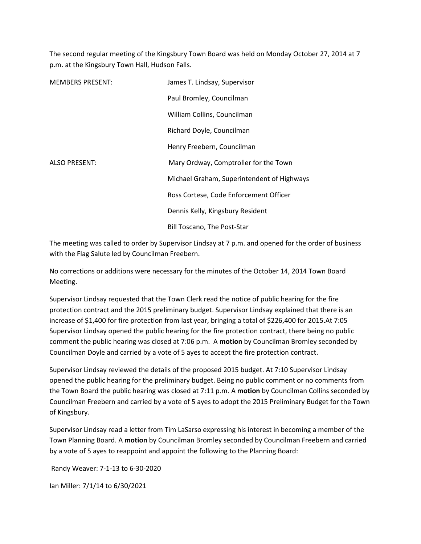The second regular meeting of the Kingsbury Town Board was held on Monday October 27, 2014 at 7 p.m. at the Kingsbury Town Hall, Hudson Falls.

| <b>MEMBERS PRESENT:</b> | James T. Lindsay, Supervisor               |
|-------------------------|--------------------------------------------|
|                         | Paul Bromley, Councilman                   |
|                         | William Collins, Councilman                |
|                         | Richard Doyle, Councilman                  |
|                         | Henry Freebern, Councilman                 |
| <b>ALSO PRESENT:</b>    | Mary Ordway, Comptroller for the Town      |
|                         | Michael Graham, Superintendent of Highways |
|                         | Ross Cortese, Code Enforcement Officer     |
|                         | Dennis Kelly, Kingsbury Resident           |
|                         | Bill Toscano, The Post-Star                |

The meeting was called to order by Supervisor Lindsay at 7 p.m. and opened for the order of business with the Flag Salute led by Councilman Freebern.

No corrections or additions were necessary for the minutes of the October 14, 2014 Town Board Meeting.

Supervisor Lindsay requested that the Town Clerk read the notice of public hearing for the fire protection contract and the 2015 preliminary budget. Supervisor Lindsay explained that there is an increase of \$1,400 for fire protection from last year, bringing a total of \$226,400 for 2015.At 7:05 Supervisor Lindsay opened the public hearing for the fire protection contract, there being no public comment the public hearing was closed at 7:06 p.m. A **motion** by Councilman Bromley seconded by Councilman Doyle and carried by a vote of 5 ayes to accept the fire protection contract.

Supervisor Lindsay reviewed the details of the proposed 2015 budget. At 7:10 Supervisor Lindsay opened the public hearing for the preliminary budget. Being no public comment or no comments from the Town Board the public hearing was closed at 7:11 p.m. A **motion** by Councilman Collins seconded by Councilman Freebern and carried by a vote of 5 ayes to adopt the 2015 Preliminary Budget for the Town of Kingsbury.

Supervisor Lindsay read a letter from Tim LaSarso expressing his interest in becoming a member of the Town Planning Board. A **motion** by Councilman Bromley seconded by Councilman Freebern and carried by a vote of 5 ayes to reappoint and appoint the following to the Planning Board:

Randy Weaver: 7-1-13 to 6-30-2020

Ian Miller: 7/1/14 to 6/30/2021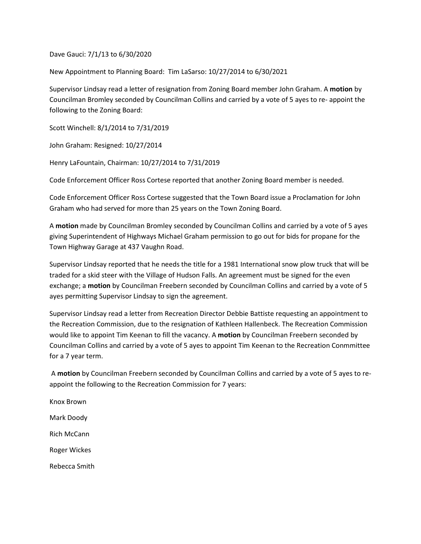Dave Gauci: 7/1/13 to 6/30/2020

New Appointment to Planning Board: Tim LaSarso: 10/27/2014 to 6/30/2021

Supervisor Lindsay read a letter of resignation from Zoning Board member John Graham. A **motion** by Councilman Bromley seconded by Councilman Collins and carried by a vote of 5 ayes to re- appoint the following to the Zoning Board:

Scott Winchell: 8/1/2014 to 7/31/2019

John Graham: Resigned: 10/27/2014

Henry LaFountain, Chairman: 10/27/2014 to 7/31/2019

Code Enforcement Officer Ross Cortese reported that another Zoning Board member is needed.

Code Enforcement Officer Ross Cortese suggested that the Town Board issue a Proclamation for John Graham who had served for more than 25 years on the Town Zoning Board.

A **motion** made by Councilman Bromley seconded by Councilman Collins and carried by a vote of 5 ayes giving Superintendent of Highways Michael Graham permission to go out for bids for propane for the Town Highway Garage at 437 Vaughn Road.

Supervisor Lindsay reported that he needs the title for a 1981 International snow plow truck that will be traded for a skid steer with the Village of Hudson Falls. An agreement must be signed for the even exchange; a **motion** by Councilman Freebern seconded by Councilman Collins and carried by a vote of 5 ayes permitting Supervisor Lindsay to sign the agreement.

Supervisor Lindsay read a letter from Recreation Director Debbie Battiste requesting an appointment to the Recreation Commission, due to the resignation of Kathleen Hallenbeck. The Recreation Commission would like to appoint Tim Keenan to fill the vacancy. A **motion** by Councilman Freebern seconded by Councilman Collins and carried by a vote of 5 ayes to appoint Tim Keenan to the Recreation Conmmittee for a 7 year term.

 A **motion** by Councilman Freebern seconded by Councilman Collins and carried by a vote of 5 ayes to reappoint the following to the Recreation Commission for 7 years:

Knox Brown Mark Doody Rich McCann Roger Wickes Rebecca Smith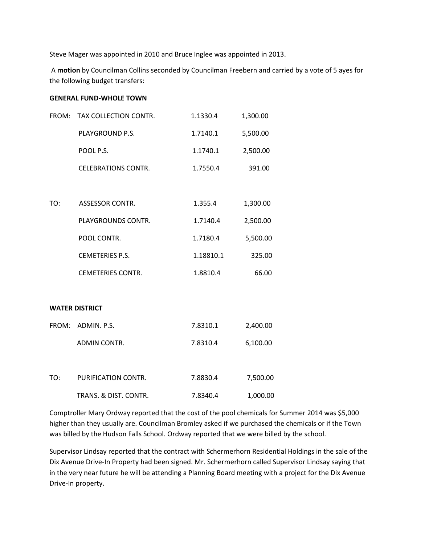Steve Mager was appointed in 2010 and Bruce Inglee was appointed in 2013.

 A **motion** by Councilman Collins seconded by Councilman Freebern and carried by a vote of 5 ayes for the following budget transfers:

## **GENERAL FUND-WHOLE TOWN**

| FROM: | TAX COLLECTION CONTR.      | 1.1330.4  | 1,300.00 |
|-------|----------------------------|-----------|----------|
|       | PLAYGROUND P.S.            | 1.7140.1  | 5,500.00 |
|       | POOL P.S.                  | 1.1740.1  | 2,500.00 |
|       | <b>CELEBRATIONS CONTR.</b> | 1.7550.4  | 391.00   |
|       |                            |           |          |
| TO:   | <b>ASSESSOR CONTR.</b>     | 1.355.4   | 1,300.00 |
|       | PLAYGROUNDS CONTR.         | 1.7140.4  | 2,500.00 |
|       | POOL CONTR.                | 1.7180.4  | 5,500.00 |
|       | <b>CEMETERIES P.S.</b>     | 1.18810.1 | 325.00   |
|       | <b>CEMETERIES CONTR.</b>   | 1.8810.4  | 66.00    |
|       |                            |           |          |
|       | <b>WATER DISTRICT</b>      |           |          |
|       | FROM: ADMIN. P.S.          | 7.8310.1  | 2,400.00 |
|       | ADMIN CONTR.               | 7.8310.4  | 6,100.00 |
|       |                            |           |          |
| TO:   | PURIFICATION CONTR.        | 7.8830.4  | 7,500.00 |
|       | TRANS. & DIST. CONTR.      | 7.8340.4  | 1,000.00 |

Comptroller Mary Ordway reported that the cost of the pool chemicals for Summer 2014 was \$5,000 higher than they usually are. Councilman Bromley asked if we purchased the chemicals or if the Town was billed by the Hudson Falls School. Ordway reported that we were billed by the school.

Supervisor Lindsay reported that the contract with Schermerhorn Residential Holdings in the sale of the Dix Avenue Drive-In Property had been signed. Mr. Schermerhorn called Supervisor Lindsay saying that in the very near future he will be attending a Planning Board meeting with a project for the Dix Avenue Drive-In property.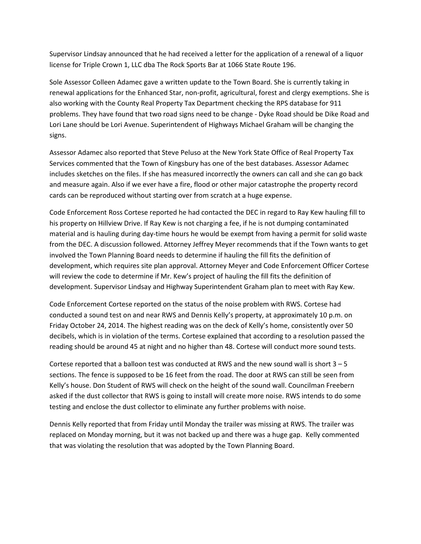Supervisor Lindsay announced that he had received a letter for the application of a renewal of a liquor license for Triple Crown 1, LLC dba The Rock Sports Bar at 1066 State Route 196.

Sole Assessor Colleen Adamec gave a written update to the Town Board. She is currently taking in renewal applications for the Enhanced Star, non-profit, agricultural, forest and clergy exemptions. She is also working with the County Real Property Tax Department checking the RPS database for 911 problems. They have found that two road signs need to be change - Dyke Road should be Dike Road and Lori Lane should be Lori Avenue. Superintendent of Highways Michael Graham will be changing the signs.

Assessor Adamec also reported that Steve Peluso at the New York State Office of Real Property Tax Services commented that the Town of Kingsbury has one of the best databases. Assessor Adamec includes sketches on the files. If she has measured incorrectly the owners can call and she can go back and measure again. Also if we ever have a fire, flood or other major catastrophe the property record cards can be reproduced without starting over from scratch at a huge expense.

Code Enforcement Ross Cortese reported he had contacted the DEC in regard to Ray Kew hauling fill to his property on Hillview Drive. If Ray Kew is not charging a fee, if he is not dumping contaminated material and is hauling during day-time hours he would be exempt from having a permit for solid waste from the DEC. A discussion followed. Attorney Jeffrey Meyer recommends that if the Town wants to get involved the Town Planning Board needs to determine if hauling the fill fits the definition of development, which requires site plan approval. Attorney Meyer and Code Enforcement Officer Cortese will review the code to determine if Mr. Kew's project of hauling the fill fits the definition of development. Supervisor Lindsay and Highway Superintendent Graham plan to meet with Ray Kew.

Code Enforcement Cortese reported on the status of the noise problem with RWS. Cortese had conducted a sound test on and near RWS and Dennis Kelly's property, at approximately 10 p.m. on Friday October 24, 2014. The highest reading was on the deck of Kelly's home, consistently over 50 decibels, which is in violation of the terms. Cortese explained that according to a resolution passed the reading should be around 45 at night and no higher than 48. Cortese will conduct more sound tests.

Cortese reported that a balloon test was conducted at RWS and the new sound wall is short  $3 - 5$ sections. The fence is supposed to be 16 feet from the road. The door at RWS can still be seen from Kelly's house. Don Student of RWS will check on the height of the sound wall. Councilman Freebern asked if the dust collector that RWS is going to install will create more noise. RWS intends to do some testing and enclose the dust collector to eliminate any further problems with noise.

Dennis Kelly reported that from Friday until Monday the trailer was missing at RWS. The trailer was replaced on Monday morning, but it was not backed up and there was a huge gap. Kelly commented that was violating the resolution that was adopted by the Town Planning Board.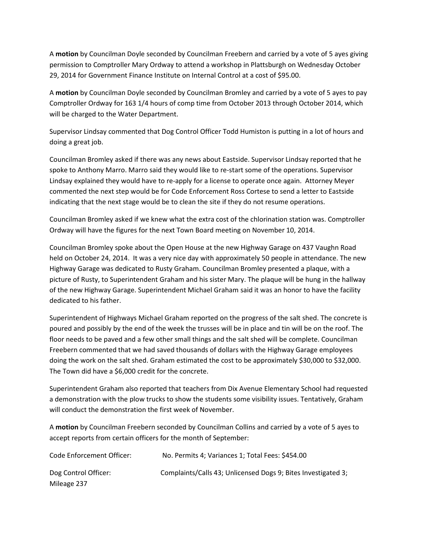A **motion** by Councilman Doyle seconded by Councilman Freebern and carried by a vote of 5 ayes giving permission to Comptroller Mary Ordway to attend a workshop in Plattsburgh on Wednesday October 29, 2014 for Government Finance Institute on Internal Control at a cost of \$95.00.

A **motion** by Councilman Doyle seconded by Councilman Bromley and carried by a vote of 5 ayes to pay Comptroller Ordway for 163 1/4 hours of comp time from October 2013 through October 2014, which will be charged to the Water Department.

Supervisor Lindsay commented that Dog Control Officer Todd Humiston is putting in a lot of hours and doing a great job.

Councilman Bromley asked if there was any news about Eastside. Supervisor Lindsay reported that he spoke to Anthony Marro. Marro said they would like to re-start some of the operations. Supervisor Lindsay explained they would have to re-apply for a license to operate once again. Attorney Meyer commented the next step would be for Code Enforcement Ross Cortese to send a letter to Eastside indicating that the next stage would be to clean the site if they do not resume operations.

Councilman Bromley asked if we knew what the extra cost of the chlorination station was. Comptroller Ordway will have the figures for the next Town Board meeting on November 10, 2014.

Councilman Bromley spoke about the Open House at the new Highway Garage on 437 Vaughn Road held on October 24, 2014. It was a very nice day with approximately 50 people in attendance. The new Highway Garage was dedicated to Rusty Graham. Councilman Bromley presented a plaque, with a picture of Rusty, to Superintendent Graham and his sister Mary. The plaque will be hung in the hallway of the new Highway Garage. Superintendent Michael Graham said it was an honor to have the facility dedicated to his father.

Superintendent of Highways Michael Graham reported on the progress of the salt shed. The concrete is poured and possibly by the end of the week the trusses will be in place and tin will be on the roof. The floor needs to be paved and a few other small things and the salt shed will be complete. Councilman Freebern commented that we had saved thousands of dollars with the Highway Garage employees doing the work on the salt shed. Graham estimated the cost to be approximately \$30,000 to \$32,000. The Town did have a \$6,000 credit for the concrete.

Superintendent Graham also reported that teachers from Dix Avenue Elementary School had requested a demonstration with the plow trucks to show the students some visibility issues. Tentatively, Graham will conduct the demonstration the first week of November.

A **motion** by Councilman Freebern seconded by Councilman Collins and carried by a vote of 5 ayes to accept reports from certain officers for the month of September:

| Code Enforcement Officer: | No. Permits 4; Variances 1; Total Fees: \$454.00              |
|---------------------------|---------------------------------------------------------------|
| Dog Control Officer:      | Complaints/Calls 43; Unlicensed Dogs 9; Bites Investigated 3; |
| Mileage 237               |                                                               |